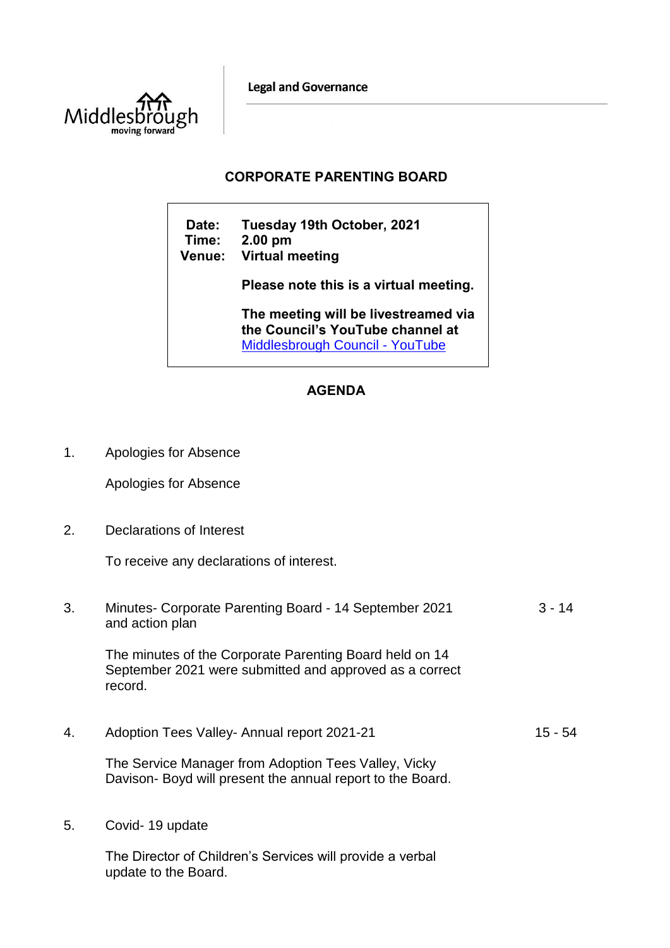**Legal and Governance** 



## **CORPORATE PARENTING BOARD**

**Date: Tuesday 19th October, 2021 Time: 2.00 pm Venue: Virtual meeting Please note this is a virtual meeting. The meeting will be livestreamed via the Council's YouTube channel at**  [Middlesbrough Council -](https://www.youtube.com/user/middlesbroughcouncil) YouTube

## **AGENDA**

1. Apologies for Absence

Apologies for Absence

2. Declarations of Interest

To receive any declarations of interest.

3. Minutes- Corporate Parenting Board - 14 September 2021 and action plan 3 - 14

The minutes of the Corporate Parenting Board held on 14 September 2021 were submitted and approved as a correct record.

4. Adoption Tees Valley- Annual report 2021-21 15 - 54

The Service Manager from Adoption Tees Valley, Vicky Davison- Boyd will present the annual report to the Board.

5. Covid- 19 update

The Director of Children's Services will provide a verbal update to the Board.